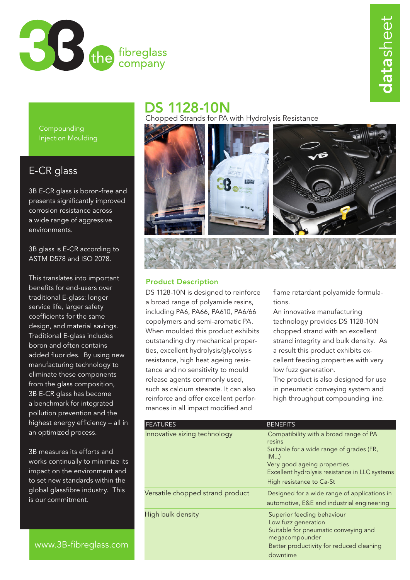

## DS 1128-10N

Chopped Strands for PA with Hydrolysis Resistance



## Product Description

DS 1128-10N is designed to reinforce a broad range of polyamide resins, including PA6, PA66, PA610, PA6/66 copolymers and semi-aromatic PA. When moulded this product exhibits outstanding dry mechanical properties, excellent hydrolysis/glycolysis resistance, high heat ageing resistance and no sensitivity to mould release agents commonly used, such as calcium stearate. It can also reinforce and offer excellent performances in all impact modified and

flame retardant polyamide formulations.

An innovative manufacturing technology provides DS 1128-10N chopped strand with an excellent strand integrity and bulk density. As a result this product exhibits excellent feeding properties with very low fuzz generation.

The product is also designed for use in pneumatic conveying system and high throughput compounding line.

| <b>FEATURES</b>                  | <b>BENEFITS</b>                                                                                                                                                                                                 |
|----------------------------------|-----------------------------------------------------------------------------------------------------------------------------------------------------------------------------------------------------------------|
| Innovative sizing technology     | Compatibility with a broad range of PA<br>resins<br>Suitable for a wide range of grades (FR,<br>IM<br>Very good ageing properties<br>Excellent hydrolysis resistance in LLC systems<br>High resistance to Ca-St |
| Versatile chopped strand product | Designed for a wide range of applications in<br>automotive, E&E and industrial engineering                                                                                                                      |
| High bulk density                | Superior feeding behaviour<br>Low fuzz generation<br>Suitable for pneumatic conveying and<br>megacompounder<br>Better productivity for reduced cleaning<br>downtime                                             |

Compounding Injection Moulding

## E-CR glass

3B E-CR glass is boron-free and presents significantly improved corrosion resistance across a wide range of aggressive environments.

3B glass is E-CR according to ASTM D578 and ISO 2078.

This translates into important benefits for end-users over traditional E-glass: longer service life, larger safety coefficients for the same design, and material savings. Traditional E-glass includes boron and often contains added fluorides. By using new manufacturing technology to eliminate these components from the glass composition, 3B E-CR glass has become a benchmark for integrated pollution prevention and the highest energy efficiency – all in an optimized process.

3B measures its efforts and works continually to minimize its impact on the environment and to set new standards within the global glassfibre industry. This is our commitment.

www.3B-fibreglass.com